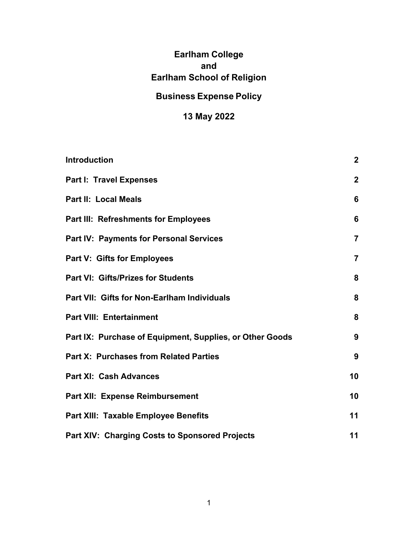# **Earlham College and Earlham School of Religion**

# **Business Expense Policy**

# **13 May 2022**

| <b>Introduction</b>                                      | $\overline{2}$ |
|----------------------------------------------------------|----------------|
| <b>Part I: Travel Expenses</b>                           | $\mathbf{2}$   |
| <b>Part II: Local Meals</b>                              | 6              |
| <b>Part III: Refreshments for Employees</b>              | 6              |
| <b>Part IV: Payments for Personal Services</b>           | $\overline{7}$ |
| <b>Part V: Gifts for Employees</b>                       | $\overline{7}$ |
| Part VI: Gifts/Prizes for Students                       | 8              |
| Part VII: Gifts for Non-Earlham Individuals              | 8              |
| <b>Part VIII: Entertainment</b>                          | 8              |
| Part IX: Purchase of Equipment, Supplies, or Other Goods | 9              |
| <b>Part X: Purchases from Related Parties</b>            | 9              |
| <b>Part XI: Cash Advances</b>                            | 10             |
| <b>Part XII: Expense Reimbursement</b>                   | 10             |
| Part XIII: Taxable Employee Benefits                     | 11             |
| <b>Part XIV: Charging Costs to Sponsored Projects</b>    | 11             |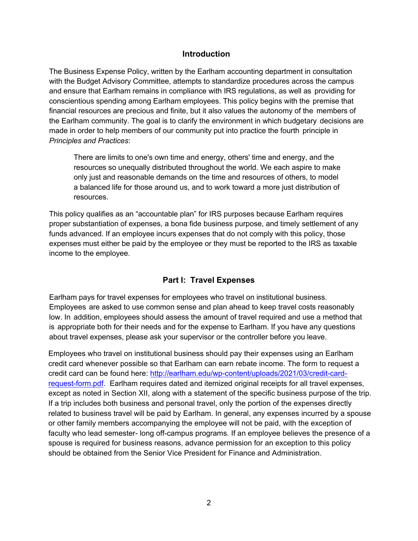### **Introduction**

The Business Expense Policy, written by the Earlham accounting department in consultation with the Budget Advisory Committee, attempts to standardize procedures across the campus and ensure that Earlham remains in compliance with IRS regulations, as well as providing for conscientious spending among Earlham employees. This policy begins with the premise that financial resources are precious and finite, but it also values the autonomy of the members of the Earlham community. The goal is to clarify the environment in which budgetary decisions are made in order to help members of our community put into practice the fourth principle in *Principles and Practices*:

There are limits to one's own time and energy, others' time and energy, and the resources so unequally distributed throughout the world. We each aspire to make only just and reasonable demands on the time and resources of others, to model a balanced life for those around us, and to work toward a more just distribution of resources.

This policy qualifies as an "accountable plan" for IRS purposes because Earlham requires proper substantiation of expenses, a bona fide business purpose, and timely settlement of any funds advanced. If an employee incurs expenses that do not comply with this policy, those expenses must either be paid by the employee or they must be reported to the IRS as taxable income to the employee.

# **Part I: Travel Expenses**

Earlham pays for travel expenses for employees who travel on institutional business. Employees are asked to use common sense and plan ahead to keep travel costs reasonably low. In addition, employees should assess the amount of travel required and use a method that is appropriate both for their needs and for the expense to Earlham. If you have any questions about travel expenses, please ask your supervisor or the controller before you leave.

Employees who travel on institutional business should pay their expenses using an Earlham credit card whenever possible so that Earlham can earn rebate income. The form to request a credit card can be found here: http://earlham.edu/wp-content/uploads/2021/03/credit-cardrequest-form.pdf. Earlham requires dated and itemized original receipts for all travel expenses, except as noted in Section XII, along with a statement of the specific business purpose of the trip. If a trip includes both business and personal travel, only the portion of the expenses directly related to business travel will be paid by Earlham. In general, any expenses incurred by a spouse or other family members accompanying the employee will not be paid, with the exception of faculty who lead semester- long off-campus programs. If an employee believes the presence of a spouse is required for business reasons, advance permission for an exception to this policy should be obtained from the Senior Vice President for Finance and Administration.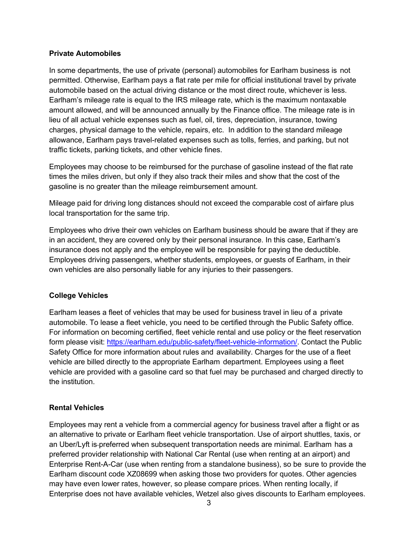#### **Private Automobiles**

In some departments, the use of private (personal) automobiles for Earlham business is not permitted. Otherwise, Earlham pays a flat rate per mile for official institutional travel by private automobile based on the actual driving distance or the most direct route, whichever is less. Earlham's mileage rate is equal to the IRS mileage rate, which is the maximum nontaxable amount allowed, and will be announced annually by the Finance office. The mileage rate is in lieu of all actual vehicle expenses such as fuel, oil, tires, depreciation, insurance, towing charges, physical damage to the vehicle, repairs, etc. In addition to the standard mileage allowance, Earlham pays travel-related expenses such as tolls, ferries, and parking, but not traffic tickets, parking tickets, and other vehicle fines.

Employees may choose to be reimbursed for the purchase of gasoline instead of the flat rate times the miles driven, but only if they also track their miles and show that the cost of the gasoline is no greater than the mileage reimbursement amount.

Mileage paid for driving long distances should not exceed the comparable cost of airfare plus local transportation for the same trip.

Employees who drive their own vehicles on Earlham business should be aware that if they are in an accident, they are covered only by their personal insurance. In this case, Earlham's insurance does not apply and the employee will be responsible for paying the deductible. Employees driving passengers, whether students, employees, or guests of Earlham, in their own vehicles are also personally liable for any injuries to their passengers.

### **College Vehicles**

Earlham leases a fleet of vehicles that may be used for business travel in lieu of a private automobile. To lease a fleet vehicle, you need to be certified through the Public Safety office. For information on becoming certified, fleet vehicle rental and use policy or the fleet reservation form please visit: https://earlham.edu/public-safety/fleet-vehicle-information/. Contact the Public Safety Office for more information about rules and availability. Charges for the use of a fleet vehicle are billed directly to the appropriate Earlham department. Employees using a fleet vehicle are provided with a gasoline card so that fuel may be purchased and charged directly to the institution.

### **Rental Vehicles**

Employees may rent a vehicle from a commercial agency for business travel after a flight or as an alternative to private or Earlham fleet vehicle transportation. Use of airport shuttles, taxis, or an Uber/Lyft is preferred when subsequent transportation needs are minimal. Earlham has a preferred provider relationship with National Car Rental (use when renting at an airport) and Enterprise Rent-A-Car (use when renting from a standalone business), so be sure to provide the Earlham discount code XZ08699 when asking those two providers for quotes. Other agencies may have even lower rates, however, so please compare prices. When renting locally, if Enterprise does not have available vehicles, Wetzel also gives discounts to Earlham employees.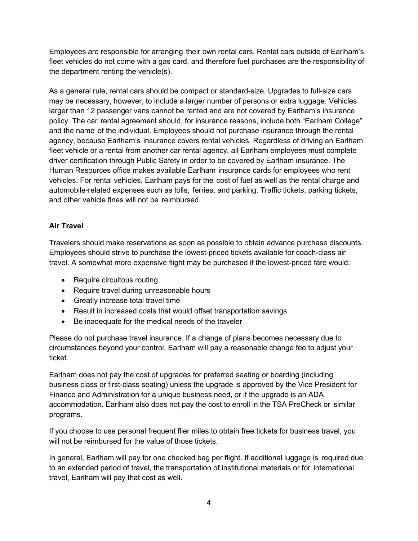Employees are responsible for arranging their own rental cars. Rental cars outside of Earlham's fleet vehicles do not come with a gas card, and therefore fuel purchases are the responsibility of the department renting the vehicle(s).

As a general rule, rental cars should be compact or standard-size. Upgrades to full-size cars may be necessary, however, to include a larger number of persons or extra luggage. Vehicles larger than 12 passenger vans cannot be rented and are not covered by Earlham's insurance policy. The car rental agreement should, for insurance reasons, include both "Earlham College" and the name of the individual. Employees should not purchase insurance through the rental agency, because Earlham's insurance covers rental vehicles. Regardless of driving an Earlham fleet vehicle or a rental from another car rental agency, all Earlham employees must complete driver certification through Public Safety in order to be covered by Earlham insurance. The Human Resources office makes available Earlham insurance cards for employees who rent vehicles. For rental vehicles, Earlham pays for the cost of fuel as well as the rental charge and automobile-related expenses such as tolls, ferries, and parking. Traffic tickets, parking tickets, and other vehicle fines will not be reimbursed.

### **Air Travel**

Travelers should make reservations as soon as possible to obtain advance purchase discounts. Employees should strive to purchase the lowest-priced tickets available for coach-class air travel. A somewhat more expensive flight may be purchased if the lowest-priced fare would:

- Require circuitous routing
- Require travel during unreasonable hours
- Greatly increase total travel time
- Result in increased costs that would offset transportation savings
- Be inadequate for the medical needs of the traveler

Please do not purchase travel insurance. If a change of plans becomes necessary due to circumstances beyond your control, Earlham will pay a reasonable change fee to adjust your ticket.

Earlham does not pay the cost of upgrades for preferred seating or boarding (including business class or first-class seating) unless the upgrade is approved by the Vice President for Finance and Administration for a unique business need, or if the upgrade is an ADA accommodation. Earlham also does not pay the cost to enroll in the TSA PreCheck or similar programs.

If you choose to use personal frequent flier miles to obtain free tickets for business travel, you will not be reimbursed for the value of those tickets.

In general, Earlham will pay for one checked bag per flight. If additional luggage is required due to an extended period of travel, the transportation of institutional materials or for international travel, Earlham will pay that cost as well.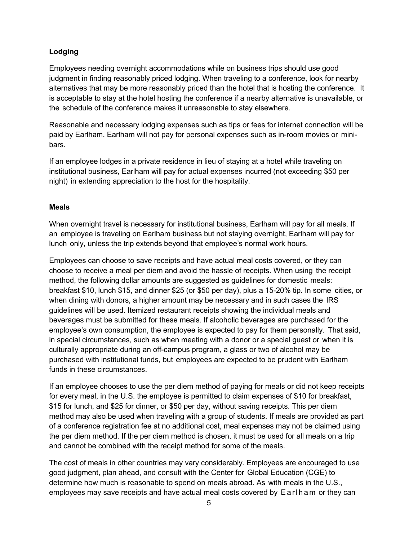### **Lodging**

Employees needing overnight accommodations while on business trips should use good judgment in finding reasonably priced lodging. When traveling to a conference, look for nearby alternatives that may be more reasonably priced than the hotel that is hosting the conference. It is acceptable to stay at the hotel hosting the conference if a nearby alternative is unavailable, or the schedule of the conference makes it unreasonable to stay elsewhere.

Reasonable and necessary lodging expenses such as tips or fees for internet connection will be paid by Earlham. Earlham will not pay for personal expenses such as in-room movies or minibars.

If an employee lodges in a private residence in lieu of staying at a hotel while traveling on institutional business, Earlham will pay for actual expenses incurred (not exceeding \$50 per night) in extending appreciation to the host for the hospitality.

### **Meals**

When overnight travel is necessary for institutional business, Earlham will pay for all meals. If an employee is traveling on Earlham business but not staying overnight, Earlham will pay for lunch only, unless the trip extends beyond that employee's normal work hours.

Employees can choose to save receipts and have actual meal costs covered, or they can choose to receive a meal per diem and avoid the hassle of receipts. When using the receipt method, the following dollar amounts are suggested as guidelines for domestic meals: breakfast \$10, lunch \$15, and dinner \$25 (or \$50 per day), plus a 15-20% tip. In some cities, or when dining with donors, a higher amount may be necessary and in such cases the IRS guidelines will be used. Itemized restaurant receipts showing the individual meals and beverages must be submitted for these meals. If alcoholic beverages are purchased for the employee's own consumption, the employee is expected to pay for them personally. That said, in special circumstances, such as when meeting with a donor or a special guest or when it is culturally appropriate during an off-campus program, a glass or two of alcohol may be purchased with institutional funds, but employees are expected to be prudent with Earlham funds in these circumstances.

If an employee chooses to use the per diem method of paying for meals or did not keep receipts for every meal, in the U.S. the employee is permitted to claim expenses of \$10 for breakfast, \$15 for lunch, and \$25 for dinner, or \$50 per day, without saving receipts. This per diem method may also be used when traveling with a group of students. If meals are provided as part of a conference registration fee at no additional cost, meal expenses may not be claimed using the per diem method. If the per diem method is chosen, it must be used for all meals on a trip and cannot be combined with the receipt method for some of the meals.

The cost of meals in other countries may vary considerably. Employees are encouraged to use good judgment, plan ahead, and consult with the Center for Global Education (CGE) to determine how much is reasonable to spend on meals abroad. As with meals in the U.S., employees may save receipts and have actual meal costs covered by Earlham or they can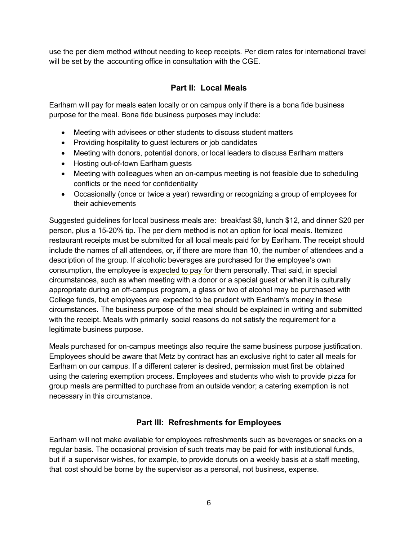use the per diem method without needing to keep receipts. Per diem rates for international travel will be set by the accounting office in consultation with the CGE.

### **Part II: Local Meals**

Earlham will pay for meals eaten locally or on campus only if there is a bona fide business purpose for the meal. Bona fide business purposes may include:

- Meeting with advisees or other students to discuss student matters
- Providing hospitality to guest lecturers or job candidates
- Meeting with donors, potential donors, or local leaders to discuss Earlham matters
- Hosting out-of-town Earlham guests
- Meeting with colleagues when an on-campus meeting is not feasible due to scheduling conflicts or the need for confidentiality
- Occasionally (once or twice a year) rewarding or recognizing a group of employees for their achievements

Suggested guidelines for local business meals are: breakfast \$8, lunch \$12, and dinner \$20 per person, plus a 15-20% tip. The per diem method is not an option for local meals. Itemized restaurant receipts must be submitted for all local meals paid for by Earlham. The receipt should include the names of all attendees, or, if there are more than 10, the number of attendees and a description of the group. If alcoholic beverages are purchased for the employee's own consumption, the employee is expected to pay for them personally. That said, in special circumstances, such as when meeting with a donor or a special guest or when it is culturally appropriate during an off-campus program, a glass or two of alcohol may be purchased with College funds, but employees are expected to be prudent with Earlham's money in these circumstances. The business purpose of the meal should be explained in writing and submitted with the receipt. Meals with primarily social reasons do not satisfy the requirement for a legitimate business purpose.

Meals purchased for on-campus meetings also require the same business purpose justification. Employees should be aware that Metz by contract has an exclusive right to cater all meals for Earlham on our campus. If a different caterer is desired, permission must first be obtained using the catering exemption process. Employees and students who wish to provide pizza for group meals are permitted to purchase from an outside vendor; a catering exemption is not necessary in this circumstance.

### **Part III: Refreshments for Employees**

Earlham will not make available for employees refreshments such as beverages or snacks on a regular basis. The occasional provision of such treats may be paid for with institutional funds, but if a supervisor wishes, for example, to provide donuts on a weekly basis at a staff meeting, that cost should be borne by the supervisor as a personal, not business, expense.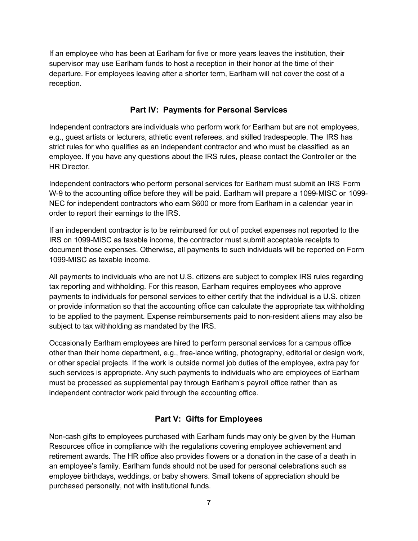If an employee who has been at Earlham for five or more years leaves the institution, their supervisor may use Earlham funds to host a reception in their honor at the time of their departure. For employees leaving after a shorter term, Earlham will not cover the cost of a reception.

# **Part IV: Payments for Personal Services**

Independent contractors are individuals who perform work for Earlham but are not employees, e.g., guest artists or lecturers, athletic event referees, and skilled tradespeople. The IRS has strict rules for who qualifies as an independent contractor and who must be classified as an employee. If you have any questions about the IRS rules, please contact the Controller or the HR Director.

Independent contractors who perform personal services for Earlham must submit an IRS Form W-9 to the accounting office before they will be paid. Earlham will prepare a 1099-MISC or 1099- NEC for independent contractors who earn \$600 or more from Earlham in a calendar year in order to report their earnings to the IRS.

If an independent contractor is to be reimbursed for out of pocket expenses not reported to the IRS on 1099-MISC as taxable income, the contractor must submit acceptable receipts to document those expenses. Otherwise, all payments to such individuals will be reported on Form 1099-MISC as taxable income.

All payments to individuals who are not U.S. citizens are subject to complex IRS rules regarding tax reporting and withholding. For this reason, Earlham requires employees who approve payments to individuals for personal services to either certify that the individual is a U.S. citizen or provide information so that the accounting office can calculate the appropriate tax withholding to be applied to the payment. Expense reimbursements paid to non-resident aliens may also be subject to tax withholding as mandated by the IRS.

Occasionally Earlham employees are hired to perform personal services for a campus office other than their home department, e.g., free-lance writing, photography, editorial or design work, or other special projects. If the work is outside normal job duties of the employee, extra pay for such services is appropriate. Any such payments to individuals who are employees of Earlham must be processed as supplemental pay through Earlham's payroll office rather than as independent contractor work paid through the accounting office.

# **Part V: Gifts for Employees**

Non-cash gifts to employees purchased with Earlham funds may only be given by the Human Resources office in compliance with the regulations covering employee achievement and retirement awards. The HR office also provides flowers or a donation in the case of a death in an employee's family. Earlham funds should not be used for personal celebrations such as employee birthdays, weddings, or baby showers. Small tokens of appreciation should be purchased personally, not with institutional funds.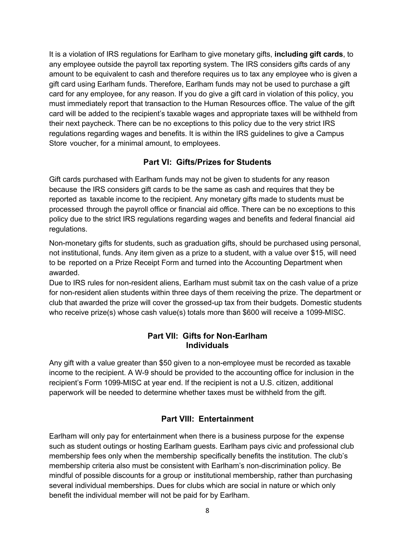It is a violation of IRS regulations for Earlham to give monetary gifts, **including gift cards**, to any employee outside the payroll tax reporting system. The IRS considers gifts cards of any amount to be equivalent to cash and therefore requires us to tax any employee who is given a gift card using Earlham funds. Therefore, Earlham funds may not be used to purchase a gift card for any employee, for any reason. If you do give a gift card in violation of this policy, you must immediately report that transaction to the Human Resources office. The value of the gift card will be added to the recipient's taxable wages and appropriate taxes will be withheld from their next paycheck. There can be no exceptions to this policy due to the very strict IRS regulations regarding wages and benefits. It is within the IRS guidelines to give a Campus Store voucher, for a minimal amount, to employees.

## **Part VI: Gifts/Prizes for Students**

Gift cards purchased with Earlham funds may not be given to students for any reason because the IRS considers gift cards to be the same as cash and requires that they be reported as taxable income to the recipient. Any monetary gifts made to students must be processed through the payroll office or financial aid office. There can be no exceptions to this policy due to the strict IRS regulations regarding wages and benefits and federal financial aid regulations.

Non-monetary gifts for students, such as graduation gifts, should be purchased using personal, not institutional, funds. Any item given as a prize to a student, with a value over \$15, will need to be reported on a Prize Receipt Form and turned into the Accounting Department when awarded.

Due to IRS rules for non-resident aliens, Earlham must submit tax on the cash value of a prize for non-resident alien students within three days of them receiving the prize. The department or club that awarded the prize will cover the grossed-up tax from their budgets. Domestic students who receive prize(s) whose cash value(s) totals more than \$600 will receive a 1099-MISC.

### **Part VII: Gifts for Non-Earlham Individuals**

Any gift with a value greater than \$50 given to a non-employee must be recorded as taxable income to the recipient. A W-9 should be provided to the accounting office for inclusion in the recipient's Form 1099-MISC at year end. If the recipient is not a U.S. citizen, additional paperwork will be needed to determine whether taxes must be withheld from the gift.

# **Part VIII: Entertainment**

Earlham will only pay for entertainment when there is a business purpose for the expense such as student outings or hosting Earlham guests. Earlham pays civic and professional club membership fees only when the membership specifically benefits the institution. The club's membership criteria also must be consistent with Earlham's non-discrimination policy. Be mindful of possible discounts for a group or institutional membership, rather than purchasing several individual memberships. Dues for clubs which are social in nature or which only benefit the individual member will not be paid for by Earlham.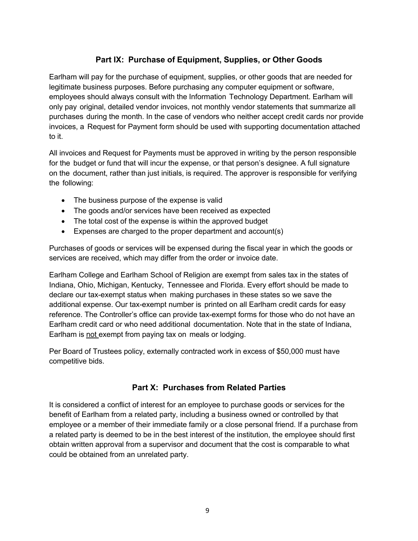# **Part IX: Purchase of Equipment, Supplies, or Other Goods**

Earlham will pay for the purchase of equipment, supplies, or other goods that are needed for legitimate business purposes. Before purchasing any computer equipment or software, employees should always consult with the Information Technology Department. Earlham will only pay original, detailed vendor invoices, not monthly vendor statements that summarize all purchases during the month. In the case of vendors who neither accept credit cards nor provide invoices, a Request for Payment form should be used with supporting documentation attached to it.

All invoices and Request for Payments must be approved in writing by the person responsible for the budget or fund that will incur the expense, or that person's designee. A full signature on the document, rather than just initials, is required. The approver is responsible for verifying the following:

- The business purpose of the expense is valid
- The goods and/or services have been received as expected
- The total cost of the expense is within the approved budget
- Expenses are charged to the proper department and account(s)

Purchases of goods or services will be expensed during the fiscal year in which the goods or services are received, which may differ from the order or invoice date.

Earlham College and Earlham School of Religion are exempt from sales tax in the states of Indiana, Ohio, Michigan, Kentucky, Tennessee and Florida. Every effort should be made to declare our tax-exempt status when making purchases in these states so we save the additional expense. Our tax-exempt number is printed on all Earlham credit cards for easy reference. The Controller's office can provide tax-exempt forms for those who do not have an Earlham credit card or who need additional documentation. Note that in the state of Indiana, Earlham is not exempt from paying tax on meals or lodging.

Per Board of Trustees policy, externally contracted work in excess of \$50,000 must have competitive bids.

# **Part X: Purchases from Related Parties**

It is considered a conflict of interest for an employee to purchase goods or services for the benefit of Earlham from a related party, including a business owned or controlled by that employee or a member of their immediate family or a close personal friend. If a purchase from a related party is deemed to be in the best interest of the institution, the employee should first obtain written approval from a supervisor and document that the cost is comparable to what could be obtained from an unrelated party.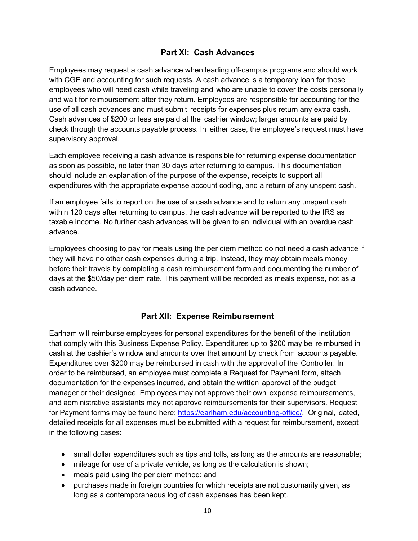## **Part XI: Cash Advances**

Employees may request a cash advance when leading off-campus programs and should work with CGE and accounting for such requests. A cash advance is a temporary loan for those employees who will need cash while traveling and who are unable to cover the costs personally and wait for reimbursement after they return. Employees are responsible for accounting for the use of all cash advances and must submit receipts for expenses plus return any extra cash. Cash advances of \$200 or less are paid at the cashier window; larger amounts are paid by check through the accounts payable process. In either case, the employee's request must have supervisory approval.

Each employee receiving a cash advance is responsible for returning expense documentation as soon as possible, no later than 30 days after returning to campus. This documentation should include an explanation of the purpose of the expense, receipts to support all expenditures with the appropriate expense account coding, and a return of any unspent cash.

If an employee fails to report on the use of a cash advance and to return any unspent cash within 120 days after returning to campus, the cash advance will be reported to the IRS as taxable income. No further cash advances will be given to an individual with an overdue cash advance.

Employees choosing to pay for meals using the per diem method do not need a cash advance if they will have no other cash expenses during a trip. Instead, they may obtain meals money before their travels by completing a cash reimbursement form and documenting the number of days at the \$50/day per diem rate. This payment will be recorded as meals expense, not as a cash advance.

### **Part XII: Expense Reimbursement**

Earlham will reimburse employees for personal expenditures for the benefit of the institution that comply with this Business Expense Policy. Expenditures up to \$200 may be reimbursed in cash at the cashier's window and amounts over that amount by check from accounts payable. Expenditures over \$200 may be reimbursed in cash with the approval of the Controller. In order to be reimbursed, an employee must complete a Request for Payment form, attach documentation for the expenses incurred, and obtain the written approval of the budget manager or their designee. Employees may not approve their own expense reimbursements, and administrative assistants may not approve reimbursements for their supervisors. Request for Payment forms may be found here: https://earlham.edu/accounting-office/. Original, dated, detailed receipts for all expenses must be submitted with a request for reimbursement, except in the following cases:

- small dollar expenditures such as tips and tolls, as long as the amounts are reasonable;
- mileage for use of a private vehicle, as long as the calculation is shown;
- meals paid using the per diem method; and
- purchases made in foreign countries for which receipts are not customarily given, as long as a contemporaneous log of cash expenses has been kept.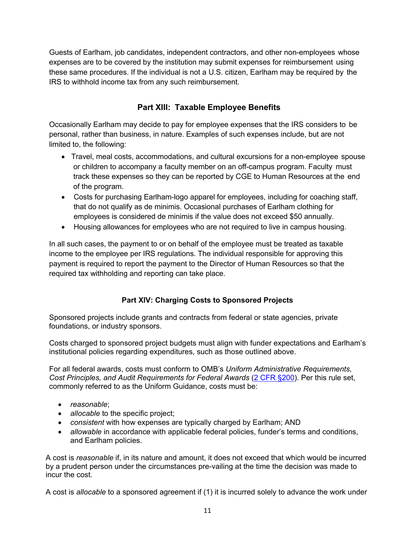Guests of Earlham, job candidates, independent contractors, and other non-employees whose expenses are to be covered by the institution may submit expenses for reimbursement using these same procedures. If the individual is not a U.S. citizen, Earlham may be required by the IRS to withhold income tax from any such reimbursement.

# **Part XIII: Taxable Employee Benefits**

Occasionally Earlham may decide to pay for employee expenses that the IRS considers to be personal, rather than business, in nature. Examples of such expenses include, but are not limited to, the following:

- Travel, meal costs, accommodations, and cultural excursions for a non-employee spouse or children to accompany a faculty member on an off-campus program. Faculty must track these expenses so they can be reported by CGE to Human Resources at the end of the program.
- Costs for purchasing Earlham-logo apparel for employees, including for coaching staff, that do not qualify as de minimis. Occasional purchases of Earlham clothing for employees is considered de minimis if the value does not exceed \$50 annually.
- Housing allowances for employees who are not required to live in campus housing.

In all such cases, the payment to or on behalf of the employee must be treated as taxable income to the employee per IRS regulations. The individual responsible for approving this payment is required to report the payment to the Director of Human Resources so that the required tax withholding and reporting can take place.

### **Part XIV: Charging Costs to Sponsored Projects**

Sponsored projects include grants and contracts from federal or state agencies, private foundations, or industry sponsors.

Costs charged to sponsored project budgets must align with funder expectations and Earlham's institutional policies regarding expenditures, such as those outlined above.

For all federal awards, costs must conform to OMB's *Uniform Administrative Requirements, Cost Principles, and Audit Requirements for Federal Awards* (2 CFR §200). Per this rule set, commonly referred to as the Uniform Guidance, costs must be:

- *reasonable*;
- *allocable* to the specific project;
- *consistent* with how expenses are typically charged by Earlham; AND
- *allowable* in accordance with applicable federal policies, funder's terms and conditions, and Earlham policies.

A cost is *reasonable* if, in its nature and amount, it does not exceed that which would be incurred by a prudent person under the circumstances pre-vailing at the time the decision was made to incur the cost.

A cost is *allocable* to a sponsored agreement if (1) it is incurred solely to advance the work under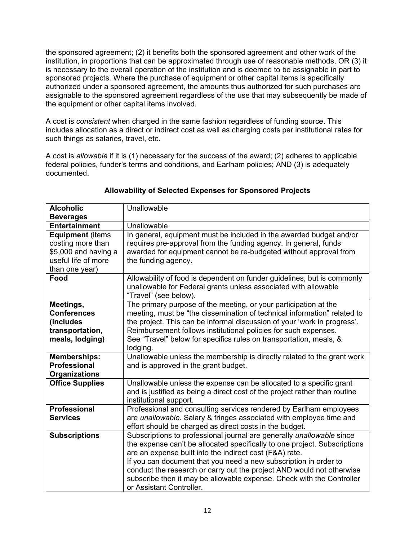the sponsored agreement; (2) it benefits both the sponsored agreement and other work of the institution, in proportions that can be approximated through use of reasonable methods, OR (3) it is necessary to the overall operation of the institution and is deemed to be assignable in part to sponsored projects. Where the purchase of equipment or other capital items is specifically authorized under a sponsored agreement, the amounts thus authorized for such purchases are assignable to the sponsored agreement regardless of the use that may subsequently be made of the equipment or other capital items involved.

A cost is *consistent* when charged in the same fashion regardless of funding source. This includes allocation as a direct or indirect cost as well as charging costs per institutional rates for such things as salaries, travel, etc.

A cost is *allowable* if it is (1) necessary for the success of the award; (2) adheres to applicable federal policies, funder's terms and conditions, and Earlham policies; AND (3) is adequately documented.

| <b>Alcoholic</b>        | Unallowable                                                                                                                                |
|-------------------------|--------------------------------------------------------------------------------------------------------------------------------------------|
| <b>Beverages</b>        |                                                                                                                                            |
| <b>Entertainment</b>    | Unallowable                                                                                                                                |
| <b>Equipment (items</b> | In general, equipment must be included in the awarded budget and/or                                                                        |
| costing more than       | requires pre-approval from the funding agency. In general, funds                                                                           |
| \$5,000 and having a    | awarded for equipment cannot be re-budgeted without approval from                                                                          |
| useful life of more     | the funding agency.                                                                                                                        |
| than one year)          |                                                                                                                                            |
| Food                    | Allowability of food is dependent on funder guidelines, but is commonly<br>unallowable for Federal grants unless associated with allowable |
|                         | "Travel" (see below).                                                                                                                      |
| Meetings,               | The primary purpose of the meeting, or your participation at the                                                                           |
| <b>Conferences</b>      | meeting, must be "the dissemination of technical information" related to                                                                   |
| (includes               | the project. This can be informal discussion of your 'work in progress'.                                                                   |
| transportation,         | Reimbursement follows institutional policies for such expenses.                                                                            |
| meals, lodging)         | See "Travel" below for specifics rules on transportation, meals, &                                                                         |
|                         | lodging.                                                                                                                                   |
| <b>Memberships:</b>     | Unallowable unless the membership is directly related to the grant work                                                                    |
| <b>Professional</b>     | and is approved in the grant budget.                                                                                                       |
| <b>Organizations</b>    |                                                                                                                                            |
| <b>Office Supplies</b>  | Unallowable unless the expense can be allocated to a specific grant                                                                        |
|                         | and is justified as being a direct cost of the project rather than routine<br>institutional support.                                       |
| <b>Professional</b>     | Professional and consulting services rendered by Earlham employees                                                                         |
| <b>Services</b>         | are unallowable. Salary & fringes associated with employee time and                                                                        |
|                         | effort should be charged as direct costs in the budget.                                                                                    |
| <b>Subscriptions</b>    | Subscriptions to professional journal are generally unallowable since                                                                      |
|                         | the expense can't be allocated specifically to one project. Subscriptions                                                                  |
|                         | are an expense built into the indirect cost (F&A) rate.                                                                                    |
|                         | If you can document that you need a new subscription in order to                                                                           |
|                         | conduct the research or carry out the project AND would not otherwise                                                                      |
|                         | subscribe then it may be allowable expense. Check with the Controller                                                                      |
|                         | or Assistant Controller.                                                                                                                   |

### **Allowability of Selected Expenses for Sponsored Projects**